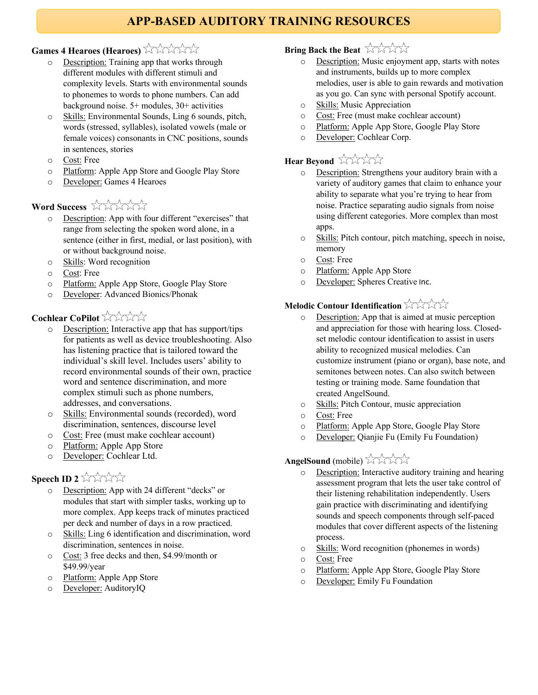# **APP-BASED AUDITORY TRAINING RESOURCES**

## Games 4 Hearoes (Hearoes)

- o Description: Training app that works through different modules with different stimuli and complexity levels. Starts with environmental sounds to phonemes to words to phone numbers. Can add background noise. 5+ modules, 30+ activities
- o Skills: Environmental Sounds, Ling 6 sounds, pitch, words (stressed, syllables), isolated vowels (male or female voices) consonants in CNC positions, sounds in sentences, stories
- o Cost: Free
- o Platform: Apple App Store and Google Play Store
- o Developer: Games 4 Hearoes

## Word Success **ANANA**

- o Description: App with four different "exercises" that range from selecting the spoken word alone, in a sentence (either in first, medial, or last position), with or without background noise.
- o Skills: Word recognition
- o Cost: Free
- o Platform: Apple App Store, Google Play Store
- o Developer: Advanced Bionics/Phonak

## **Cochlear CoPilot** XXXX

- o Description: Interactive app that has support/tips for patients as well as device troubleshooting. Also has listening practice that is tailored toward the individual's skill level. Includes users' ability to record environmental sounds of their own, practice word and sentence discrimination, and more complex stimuli such as phone numbers, addresses, and conversations.
- o Skills: Environmental sounds (recorded), word discrimination, sentences, discourse level
- o Cost: Free (must make cochlear account)
- o Platform: Apple App Store
- o Developer: Cochlear Ltd.

## **Speech ID 2** ANX

- o Description: App with 24 different "decks" or modules that start with simpler tasks, working up to more complex. App keeps track of minutes practiced per deck and number of days in a row practiced.
- o Skills: Ling 6 identification and discrimination, word discrimination, sentences in noise.
- o Cost: 3 free decks and then, \$4.99/month or \$49.99/year
- o Platform: Apple App Store
- o Developer: AuditoryIQ

## **Bring Back the Beat**

- o Description: Music enjoyment app, starts with notes and instruments, builds up to more complex melodies, user is able to gain rewards and motivation as you go. Can sync with personal Spotify account.
- o Skills: Music Appreciation
- o Cost: Free (must make cochlear account)
- o Platform: Apple App Store, Google Play Store
- o Developer: Cochlear Corp.

# Hear Beyond **XXXX**

- o Description: Strengthens your auditory brain with a variety of auditory games that claim to enhance your ability to separate what you're trying to hear from noise. Practice separating audio signals from noise using different categories. More complex than most apps.
- o Skills: Pitch contour, pitch matching, speech in noise, memory
- o Cost: Free
- o Platform: Apple App Store
- o Developer: Spheres Creative Inc.

#### **Melodic Contour Identification**  $\forall$  XXX

- o Description: App that is aimed at music perception and appreciation for those with hearing loss. Closedset melodic contour identification to assist in users ability to recognized musical melodies. Can customize instrument (piano or organ), base note, and semitones between notes. Can also switch between testing or training mode. Same foundation that created AngelSound.
- o Skills: Pitch Contour, music appreciation
- o Cost: Free
- o Platform: Apple App Store, Google Play Store
- o Developer: Qianjie Fu (Emily Fu Foundation)

## **AngelSound** (mobile) XXXXX

- o Description: Interactive auditory training and hearing assessment program that lets the user take control of their listening rehabilitation independently. Users gain practice with discriminating and identifying sounds and speech components through self-paced modules that cover different aspects of the listening process.
- o Skills: Word recognition (phonemes in words)
- o Cost: Free
- o Platform: Apple App Store, Google Play Store
- o Developer: Emily Fu Foundation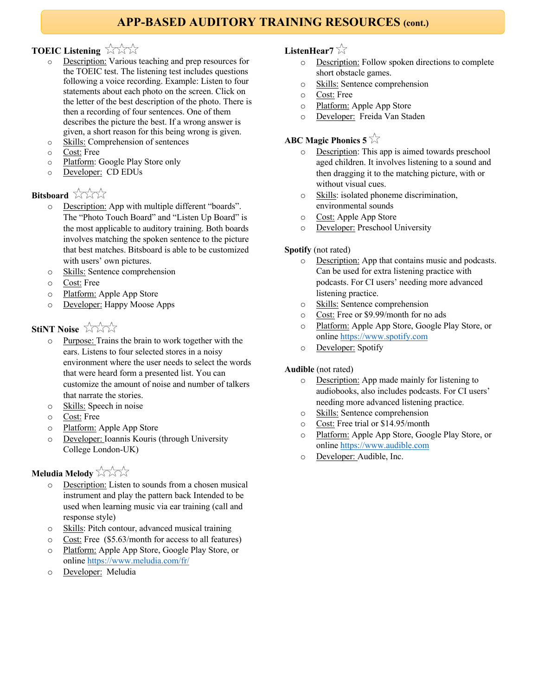## **APP-BASED AUDITORY TRAINING RESOURCES (cont.)**

## **TOEIC Listening**

- o Description: Various teaching and prep resources for the TOEIC test. The listening test includes questions following a voice recording. Example: Listen to four statements about each photo on the screen. Click on the letter of the best description of the photo. There is then a recording of four sentences. One of them describes the picture the best. If a wrong answer is given, a short reason for this being wrong is given.
- o Skills: Comprehension of sentences
- o Cost: Free
- o Platform: Google Play Store only
- o Developer: CD EDUs

## **Bitshoard** XXX

- o Description: App with multiple different "boards". The "Photo Touch Board" and "Listen Up Board" is the most applicable to auditory training. Both boards involves matching the spoken sentence to the picture that best matches. Bitsboard is able to be customized with users' own pictures.
- o Skills: Sentence comprehension
- o Cost: Free
- o Platform: Apple App Store
- o Developer: Happy Moose Apps

#### **StiNT Noise** AXX

- o Purpose: Trains the brain to work together with the ears. Listens to four selected stores in a noisy environment where the user needs to select the words that were heard form a presented list. You can customize the amount of noise and number of talkers that narrate the stories.
- o Skills: Speech in noise
- o Cost: Free
- o Platform: Apple App Store
- o Developer: Ioannis Kouris (through University College London-UK)

#### **Meludia Melody** XXX

- o Description: Listen to sounds from a chosen musical instrument and play the pattern back Intended to be used when learning music via ear training (call and response style)
- o Skills: Pitch contour, advanced musical training
- o Cost: Free (\$5.63/month for access to all features)
- o Platform: Apple App Store, Google Play Store, or online https://www.meludia.com/fr/
- o Developer: Meludia

#### **ListenHear7**

- o Description: Follow spoken directions to complete short obstacle games.
- o Skills: Sentence comprehension
- o Cost: Free
- o Platform: Apple App Store
- o Developer: Freida Van Staden

#### **ABC Magic Phonics 5**

- o Description: This app is aimed towards preschool aged children. It involves listening to a sound and then dragging it to the matching picture, with or without visual cues.
- o Skills: isolated phoneme discrimination, environmental sounds
- o Cost: Apple App Store
- o Developer: Preschool University

#### **Spotify** (not rated)

- o Description: App that contains music and podcasts. Can be used for extra listening practice with podcasts. For CI users' needing more advanced listening practice.
- o Skills: Sentence comprehension
- o Cost: Free or \$9.99/month for no ads
- o Platform: Apple App Store, Google Play Store, or online https://www.spotify.com
- o Developer: Spotify

#### **Audible** (not rated)

- o Description: App made mainly for listening to audiobooks, also includes podcasts. For CI users' needing more advanced listening practice.
- o Skills: Sentence comprehension
- o Cost: Free trial or \$14.95/month
- o Platform: Apple App Store, Google Play Store, or online https://www.audible.com
- o Developer: Audible, Inc.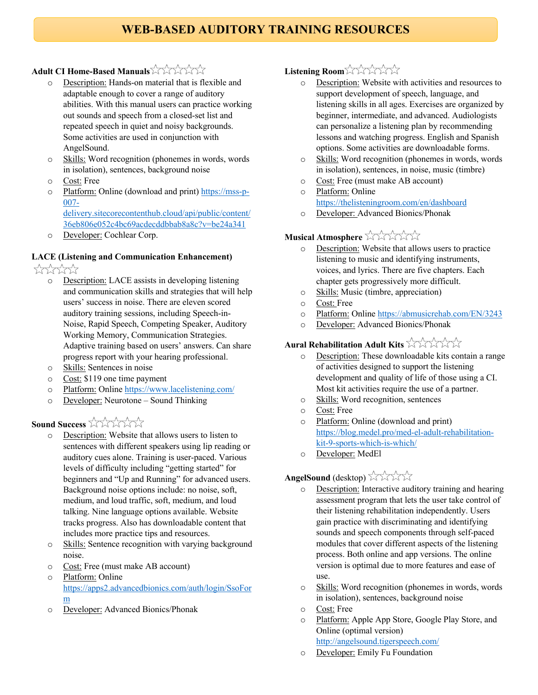# **WEB-BASED AUDITORY TRAINING RESOURCES**

#### **Adult CI Home-Based Manuals**

- o Description: Hands-on material that is flexible and adaptable enough to cover a range of auditory abilities. With this manual users can practice working out sounds and speech from a closed-set list and repeated speech in quiet and noisy backgrounds. Some activities are used in conjunction with AngelSound.
- o Skills: Word recognition (phonemes in words, words in isolation), sentences, background noise
- o Cost: Free
- o Platform: Online (download and print) https://mss-p-007-

delivery.sitecorecontenthub.cloud/api/public/content/ 36eb806e052c4bc69acdecddbbab8a8c?v=be24a341

o Developer: Cochlear Corp.

#### **LACE (Listening and Communication Enhancement)**

\*\*\*\*\*

- o Description: LACE assists in developing listening and communication skills and strategies that will help users' success in noise. There are eleven scored auditory training sessions, including Speech-in-Noise, Rapid Speech, Competing Speaker, Auditory Working Memory, Communication Strategies. Adaptive training based on users' answers. Can share progress report with your hearing professional.
- o Skills: Sentences in noise
- o Cost: \$119 one time payment
- o Platform: Online https://www.lacelistening.com/
- o Developer: Neurotone Sound Thinking

#### **Sound Success** XXXXX

- o Description: Website that allows users to listen to sentences with different speakers using lip reading or auditory cues alone. Training is user-paced. Various levels of difficulty including "getting started" for beginners and "Up and Running" for advanced users. Background noise options include: no noise, soft, medium, and loud traffic, soft, medium, and loud talking. Nine language options available. Website tracks progress. Also has downloadable content that includes more practice tips and resources.
- o Skills: Sentence recognition with varying background noise.
- o Cost: Free (must make AB account)
- o Platform: Online https://apps2.advancedbionics.com/auth/login/SsoFor m
- o Developer: Advanced Bionics/Phonak

#### **Listening Room**

- o Description: Website with activities and resources to support development of speech, language, and listening skills in all ages. Exercises are organized by beginner, intermediate, and advanced. Audiologists can personalize a listening plan by recommending lessons and watching progress. English and Spanish options. Some activities are downloadable forms.
- o Skills: Word recognition (phonemes in words, words in isolation), sentences, in noise, music (timbre)
- o Cost: Free (must make AB account)
- o Platform: Online https://thelisteningroom.com/en/dashboard
- o Developer: Advanced Bionics/Phonak

# **Musical Atmosphere**

- o Description: Website that allows users to practice listening to music and identifying instruments, voices, and lyrics. There are five chapters. Each chapter gets progressively more difficult.
- o Skills: Music (timbre, appreciation)
- o Cost: Free
- o Platform: Online https://abmusicrehab.com/EN/3243
- o Developer: Advanced Bionics/Phonak

#### **Aural Rehabilitation Adult Kits**

- o Description: These downloadable kits contain a range of activities designed to support the listening development and quality of life of those using a CI. Most kit activities require the use of a partner.
- o Skills: Word recognition, sentences
- o Cost: Free
- o Platform: Online (download and print) https://blog.medel.pro/med-el-adult-rehabilitationkit-9-sports-which-is-which/
- o Developer: MedEl

# **AngelSound** (desktop)  $\sqrt{\sqrt{2}}$

- o Description: Interactive auditory training and hearing assessment program that lets the user take control of their listening rehabilitation independently. Users gain practice with discriminating and identifying sounds and speech components through self-paced modules that cover different aspects of the listening process. Both online and app versions. The online version is optimal due to more features and ease of use.
- o Skills: Word recognition (phonemes in words, words in isolation), sentences, background noise
- o Cost: Free
- o Platform: Apple App Store, Google Play Store, and Online (optimal version) http://angelsound.tigerspeech.com/
- o Developer: Emily Fu Foundation